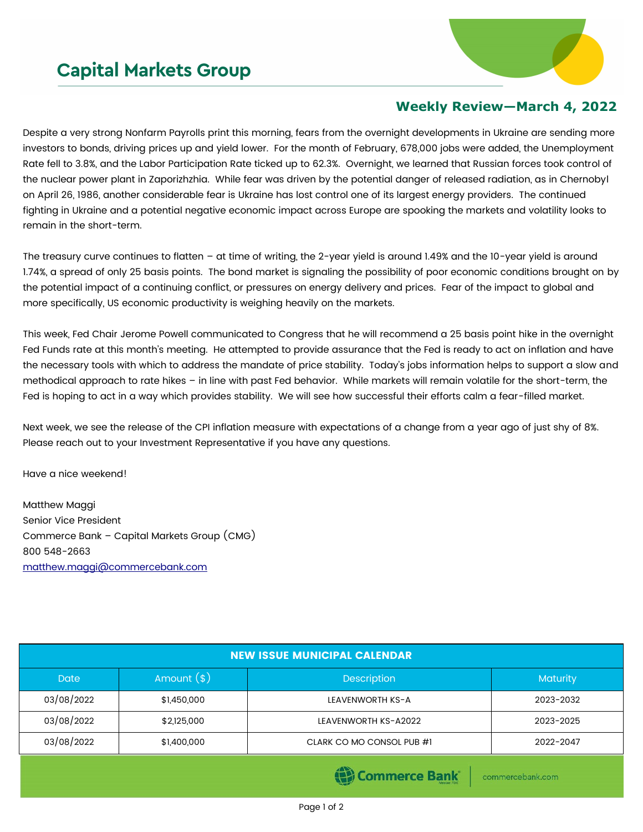## **Capital Markets Group**



## **Weekly Review—March 4, 2022**

Despite a very strong Nonfarm Payrolls print this morning, fears from the overnight developments in Ukraine are sending more investors to bonds, driving prices up and yield lower. For the month of February, 678,000 jobs were added, the Unemployment Rate fell to 3.8%, and the Labor Participation Rate ticked up to 62.3%. Overnight, we learned that Russian forces took control of the nuclear power plant in Zaporizhzhia. While fear was driven by the potential danger of released radiation, as in Chernobyl on April 26, 1986, another considerable fear is Ukraine has lost control one of its largest energy providers. The continued fighting in Ukraine and a potential negative economic impact across Europe are spooking the markets and volatility looks to remain in the short-term.

The treasury curve continues to flatten – at time of writing, the 2-year yield is around 1.49% and the 10-year yield is around 1.74%, a spread of only 25 basis points. The bond market is signaling the possibility of poor economic conditions brought on by the potential impact of a continuing conflict, or pressures on energy delivery and prices. Fear of the impact to global and more specifically, US economic productivity is weighing heavily on the markets.

This week, Fed Chair Jerome Powell communicated to Congress that he will recommend a 25 basis point hike in the overnight Fed Funds rate at this month's meeting. He attempted to provide assurance that the Fed is ready to act on inflation and have the necessary tools with which to address the mandate of price stability. Today's jobs information helps to support a slow and methodical approach to rate hikes – in line with past Fed behavior. While markets will remain volatile for the short-term, the Fed is hoping to act in a way which provides stability. We will see how successful their efforts calm a fear-filled market.

Next week, we see the release of the CPI inflation measure with expectations of a change from a year ago of just shy of 8%. Please reach out to your Investment Representative if you have any questions.

Have a nice weekend!

Matthew Maggi Senior Vice President Commerce Bank – Capital Markets Group (CMG) 800 548-2663 [matthew.maggi@commercebank.com](mailto:matthew.maggi@commercebank.com)

| <b>NEW ISSUE MUNICIPAL CALENDAR</b> |              |                           |           |  |  |  |
|-------------------------------------|--------------|---------------------------|-----------|--|--|--|
| <b>Date</b>                         | Amount $(*)$ | <b>Description</b>        | Maturity  |  |  |  |
| 03/08/2022                          | \$1,450,000  | LEAVENWORTH KS-A          | 2023-2032 |  |  |  |
| 03/08/2022                          | \$2,125,000  | LEAVENWORTH KS-A2022      | 2023-2025 |  |  |  |
| 03/08/2022                          | \$1,400,000  | CLARK CO MO CONSOL PUB #1 | 2022-2047 |  |  |  |
|                                     |              | <b>CONTRACTOR</b>         |           |  |  |  |

**(E)** Commerce Bank

commercebank.com